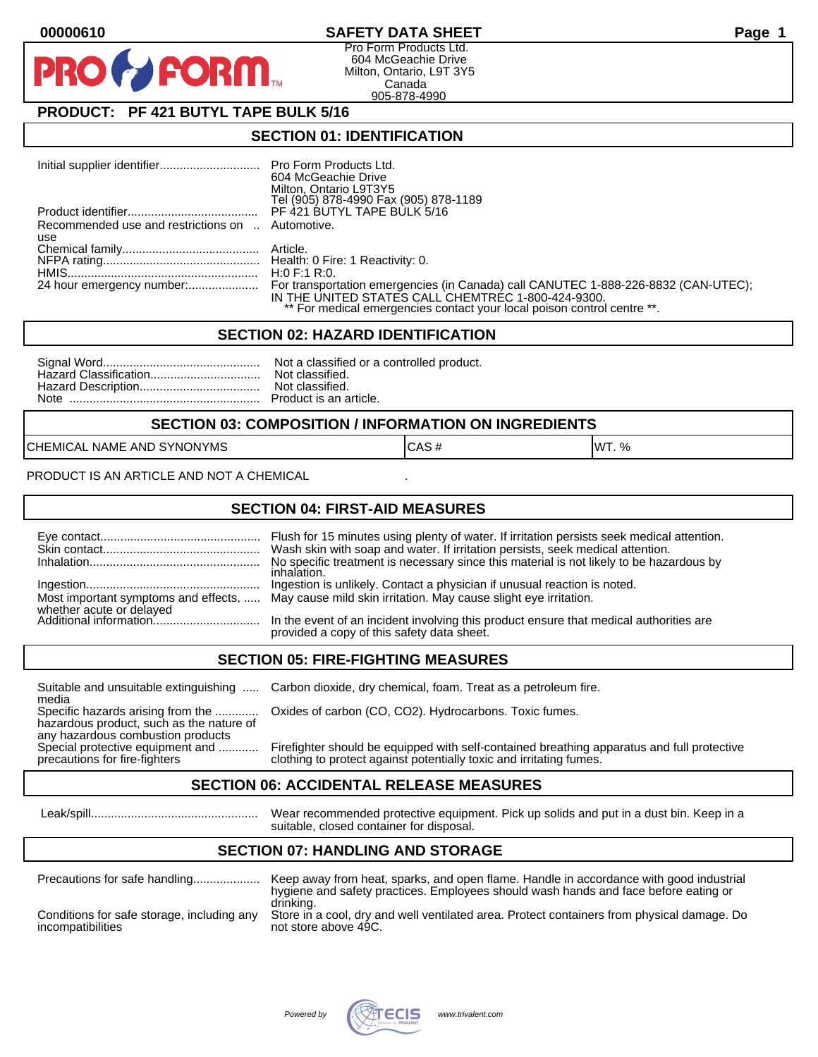## **00000610 SAFETY DATA SHEET Page 1**

Pro Form Products Ltd. 604 McGeachie Drive Milton, Ontario, L9T 3Y5 Canada 905-878-4990

# **PRODUCT: PF 421 BUTYL TAPE BULK 5/16**

**FORM** 

### **SECTION 01: IDENTIFICATION**

|                                                  | 604 McGeachie Drive                                                                |
|--------------------------------------------------|------------------------------------------------------------------------------------|
|                                                  | Milton, Ontario L9T3Y5                                                             |
|                                                  | Tel (905) 878-4990 Fax (905) 878-1189                                              |
|                                                  | PF 421 BUTYL TAPE BULK 5/16                                                        |
| Recommended use and restrictions on  Automotive. |                                                                                    |
| use                                              |                                                                                    |
|                                                  |                                                                                    |
|                                                  |                                                                                    |
|                                                  | H:0 F:1 R:0.                                                                       |
| 24 hour emergency number:                        | For transportation emergencies (in Canada) call CANUTEC 1-888-226-8832 (CAN-UTEC); |
|                                                  | IN THE UNITED STATES CALL CHEMTREC 1-800-424-9300.                                 |
|                                                  | ** For medical emergencies contact your local poison control centre **.            |

#### **SECTION 02: HAZARD IDENTIFICATION**

#### **SECTION 03: COMPOSITION / INFORMATION ON INGREDIENTS**

CHEMICAL NAME AND SYNONYMS CASE CAS # CAS # WT. %

PRODUCT IS AN ARTICLE AND NOT A CHEMICAL

### **SECTION 04: FIRST-AID MEASURES**

|                                                    | Flush for 15 minutes using plenty of water. If irritation persists seek medical attention.<br>Wash skin with soap and water. If irritation persists, seek medical attention.<br>No specific treatment is necessary since this material is not likely to be hazardous by<br>inhalation. |
|----------------------------------------------------|----------------------------------------------------------------------------------------------------------------------------------------------------------------------------------------------------------------------------------------------------------------------------------------|
|                                                    | Ingestion is unlikely. Contact a physician if unusual reaction is noted.<br>Most important symptoms and effects,  May cause mild skin irritation. May cause slight eye irritation.                                                                                                     |
| whether acute or delayed<br>Additional information | In the event of an incident involving this product ensure that medical authorities are<br>provided a copy of this safety data sheet.                                                                                                                                                   |

### **SECTION 05: FIRE-FIGHTING MEASURES**

media<br>Specific hazards arising from the .............

hazardous product, such as the nature of any hazardous combustion products<br>Special protective equipment and ............

Suitable and unsuitable extinguishing ..... Carbon dioxide, dry chemical, foam. Treat as a petroleum fire.

Oxides of carbon (CO, CO2). Hydrocarbons. Toxic fumes.

Special protective equipment and ............ Firefighter should be equipped with self-contained breathing apparatus and full protective<br>precautions for fire-fighters on the clothing to protect against potentially toxic an clothing to protect against potentially toxic and irritating fumes.

### **SECTION 06: ACCIDENTAL RELEASE MEASURES**

 Leak/spill.................................................. Wear recommended protective equipment. Pick up solids and put in a dust bin. Keep in a suitable, closed container for disposal.

# **SECTION 07: HANDLING AND STORAGE**

| Precautions for safe handling                                   | Keep away from heat, sparks, and open flame. Handle in accordance with good industrial<br>hygiene and safety practices. Employees should wash hands and face before eating or |
|-----------------------------------------------------------------|-------------------------------------------------------------------------------------------------------------------------------------------------------------------------------|
| Conditions for safe storage, including any<br>incompatibilities | drinking.<br>Store in a cool, dry and well ventilated area. Protect containers from physical damage. Do<br>not store above 49C.                                               |

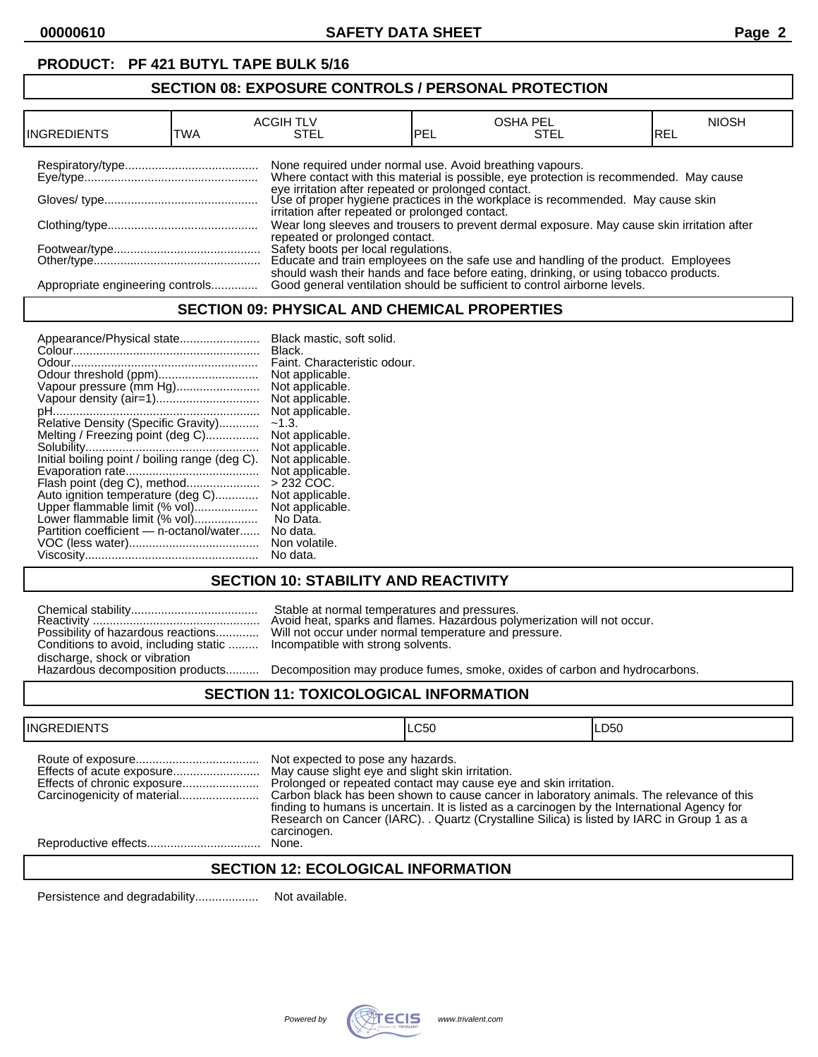# **PRODUCT: PF 421 BUTYL TAPE BULK 5/16**

# **SECTION 08: EXPOSURE CONTROLS / PERSONAL PROTECTION**

| IINGREDIENTS                     | TWA | <b>ACGIH TLV</b><br>STEL                                 | PEL | <b>OSHA PEL</b><br><b>STEL</b>                                                                                                                                    | <b>NIOSH</b><br>IREL |
|----------------------------------|-----|----------------------------------------------------------|-----|-------------------------------------------------------------------------------------------------------------------------------------------------------------------|----------------------|
|                                  |     | None required under normal use. Avoid breathing vapours. |     | Where contact with this material is possible, eye protection is recommended. May cause                                                                            |                      |
|                                  |     | irritation after repeated or prolonged contact.          |     | eye irritation after repeated or prolonged contact.<br>Use of proper hygiene practices in the workplace is recommended. May cause skin                            |                      |
|                                  |     | repeated or prolonged contact.                           |     | Wear long sleeves and trousers to prevent dermal exposure. May cause skin irritation after                                                                        |                      |
|                                  |     |                                                          |     | Safety boots per local regulations.<br>Educate and train employees on the safe use and handling of the product. Employees                                         |                      |
| Appropriate engineering controls |     |                                                          |     | should wash their hands and face before eating, drinking, or using tobacco products.<br>Good general ventilation should be sufficient to control airborne levels. |                      |

### **SECTION 09: PHYSICAL AND CHEMICAL PROPERTIES**

## **SECTION 10: STABILITY AND REACTIVITY**

|                                                                           | Stable at normal temperatures and pressures.<br>Avoid heat, sparks and flames. Hazardous poly |
|---------------------------------------------------------------------------|-----------------------------------------------------------------------------------------------|
|                                                                           | Possibility of hazardous reactions Will not occur under normal temperature and pr             |
| Conditions to avoid, including static  Incompatible with strong solvents. |                                                                                               |
| discharge, shock or vibration                                             |                                                                                               |
|                                                                           | Hazardous decomposition products Decomposition may produce fumes. smoke. oxi                  |

Reactivity .................................................. Avoid heat, sparks and flames. Hazardous polymerization will not occur. Possibility of hazardous reactions............. Will not occur under normal temperature and pressure. Incompatible with strong solvents.

Decomposition may produce fumes, smoke, oxides of carbon and hydrocarbons.

### **SECTION 11: TOXICOLOGICAL INFORMATION**

| <b>INGREDIENTS</b>          |                                                                                                      | <b>LC50</b>                                                                                                                                                                                                                                                                                                                                                | ILD50 |
|-----------------------------|------------------------------------------------------------------------------------------------------|------------------------------------------------------------------------------------------------------------------------------------------------------------------------------------------------------------------------------------------------------------------------------------------------------------------------------------------------------------|-------|
| Effects of chronic exposure | Not expected to pose any hazards.<br>May cause slight eye and slight skin irritation.<br>carcinogen. | Prolonged or repeated contact may cause eye and skin irritation.<br>Carbon black has been shown to cause cancer in laboratory animals. The relevance of this<br>finding to humans is uncertain. It is listed as a carcinogen by the International Agency for<br>Research on Cancer (IARC). . Quartz (Crystalline Silica) is listed by IARC in Group 1 as a |       |
|                             | None.                                                                                                |                                                                                                                                                                                                                                                                                                                                                            |       |
|                             |                                                                                                      |                                                                                                                                                                                                                                                                                                                                                            |       |

### **SECTION 12: ECOLOGICAL INFORMATION**

Persistence and degradability................... Not available.